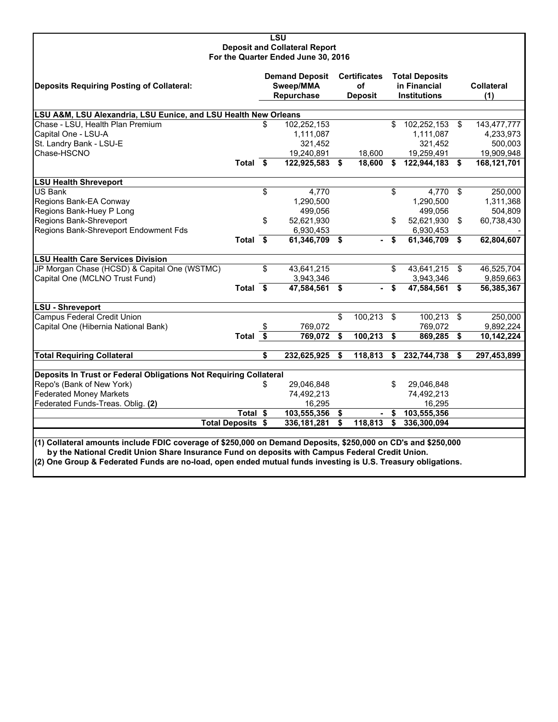|                                                                                                               |                       |                       | <b>LSU</b>                           |                                      |                          |                                      |                                       |                      |                          |  |
|---------------------------------------------------------------------------------------------------------------|-----------------------|-----------------------|--------------------------------------|--------------------------------------|--------------------------|--------------------------------------|---------------------------------------|----------------------|--------------------------|--|
|                                                                                                               |                       |                       | <b>Deposit and Collateral Report</b> |                                      |                          |                                      |                                       |                      |                          |  |
|                                                                                                               |                       |                       | For the Quarter Ended June 30, 2016  |                                      |                          |                                      |                                       |                      |                          |  |
|                                                                                                               |                       |                       |                                      |                                      |                          |                                      |                                       |                      |                          |  |
| <b>Deposits Requiring Posting of Collateral:</b>                                                              |                       | <b>Demand Deposit</b> |                                      |                                      | <b>Certificates</b>      |                                      | <b>Total Deposits</b><br>in Financial |                      |                          |  |
|                                                                                                               |                       |                       | Sweep/MMA<br>Repurchase              |                                      | оf<br>Deposit            |                                      | <b>Institutions</b>                   |                      | <b>Collateral</b><br>(1) |  |
|                                                                                                               |                       |                       |                                      |                                      |                          |                                      |                                       |                      |                          |  |
| LSU A&M, LSU Alexandria, LSU Eunice, and LSU Health New Orleans                                               |                       |                       |                                      |                                      |                          |                                      |                                       |                      |                          |  |
| Chase - LSU, Health Plan Premium                                                                              |                       | S                     | 102,252,153                          |                                      |                          | \$                                   | 102,252,153                           | \$                   | 143,477,777              |  |
| Capital One - LSU-A                                                                                           |                       |                       | 1,111,087                            |                                      |                          |                                      | 1,111,087                             |                      | 4,233,973                |  |
| St. Landry Bank - LSU-E                                                                                       |                       |                       | 321,452                              |                                      |                          |                                      | 321,452                               |                      | 500,003                  |  |
| Chase-HSCNO                                                                                                   |                       |                       | 19,240,891                           |                                      | 18,600                   |                                      | 19,259,491                            |                      | 19,909,948               |  |
|                                                                                                               | Total \$              |                       | 122,925,583 \$                       |                                      | 18,600                   | \$                                   | 122,944,183                           | Ŝ.                   | 168,121,701              |  |
| <b>LSU Health Shreveport</b>                                                                                  |                       |                       |                                      |                                      |                          |                                      |                                       |                      |                          |  |
| US Bank                                                                                                       |                       | \$                    | 4,770                                |                                      |                          | \$                                   | 4,770                                 | $\mathfrak{L}$       | 250,000                  |  |
| Regions Bank-EA Conway                                                                                        |                       |                       | 1,290,500                            |                                      |                          |                                      | 1,290,500                             |                      | 1,311,368                |  |
| Regions Bank-Huey P Long                                                                                      |                       |                       | 499,056                              |                                      |                          |                                      | 499,056                               |                      | 504,809                  |  |
| Regions Bank-Shreveport                                                                                       |                       | \$                    | 52,621,930                           |                                      |                          | \$                                   | 52,621,930                            | \$                   | 60,738,430               |  |
| Regions Bank-Shreveport Endowment Fds                                                                         |                       |                       | 6,930,453                            |                                      |                          |                                      | 6,930,453                             |                      |                          |  |
|                                                                                                               | Total \$              |                       | 61,346,709 \$                        |                                      | ۰.                       | \$                                   | 61,346,709                            | \$                   | 62,804,607               |  |
| <b>LSU Health Care Services Division</b>                                                                      |                       |                       |                                      |                                      |                          |                                      |                                       |                      |                          |  |
| JP Morgan Chase (HCSD) & Capital One (WSTMC)                                                                  |                       | \$                    | 43,641,215                           |                                      |                          | \$                                   | 43,641,215                            | \$                   | 46,525,704               |  |
| Capital One (MCLNO Trust Fund)                                                                                |                       |                       | 3,943,346                            |                                      |                          |                                      | 3,943,346                             |                      | 9,859,663                |  |
|                                                                                                               | Total \$              |                       | 47,584,561 \$                        |                                      |                          | \$                                   | 47,584,561 \$                         |                      | 56,385,367               |  |
| <b>LSU - Shreveport</b>                                                                                       |                       |                       |                                      |                                      |                          |                                      |                                       |                      |                          |  |
| <b>Campus Federal Credit Union</b>                                                                            |                       |                       |                                      | \$                                   | 100,213                  | \$                                   | 100,213 \$                            |                      | 250,000                  |  |
| Capital One (Hibernia National Bank)                                                                          |                       |                       | 769,072                              |                                      |                          |                                      | 769,072                               |                      | 9,892,224                |  |
|                                                                                                               | Total $\overline{\$}$ |                       | 769,072                              | $\overline{\boldsymbol{\mathsf{s}}}$ | 100,213                  | $\overline{\boldsymbol{\mathsf{s}}}$ | 869,285                               | $\overline{\bullet}$ | 10,142,224               |  |
| <b>Total Requiring Collateral</b>                                                                             |                       | \$                    | 232,625,925                          | \$                                   | 118,813                  | \$                                   | 232,744,738                           | S                    | 297,453,899              |  |
|                                                                                                               |                       |                       |                                      |                                      |                          |                                      |                                       |                      |                          |  |
| Deposits In Trust or Federal Obligations Not Requiring Collateral                                             |                       |                       |                                      |                                      |                          |                                      |                                       |                      |                          |  |
| Repo's (Bank of New York)                                                                                     |                       | S                     | 29,046,848                           |                                      |                          | \$.                                  | 29,046,848                            |                      |                          |  |
| <b>Federated Money Markets</b>                                                                                |                       |                       | 74,492,213                           |                                      |                          |                                      | 74,492,213                            |                      |                          |  |
| Federated Funds-Treas. Oblig. (2)                                                                             |                       |                       | 16,295                               |                                      |                          |                                      | 16,295                                |                      |                          |  |
|                                                                                                               | <b>Total</b>          | \$                    | 103,555,356                          | -\$                                  | $\overline{\phantom{0}}$ | \$                                   | 103,555,356                           |                      |                          |  |
|                                                                                                               | <b>Total Deposits</b> | \$                    | 336, 181, 281                        | \$                                   | 118,813                  | \$                                   | 336,300,094                           |                      |                          |  |
|                                                                                                               |                       |                       |                                      |                                      |                          |                                      |                                       |                      |                          |  |
| (1) Collateral amounts include FDIC coverage of \$250,000 on Demand Deposits, \$250,000 on CD's and \$250,000 |                       |                       |                                      |                                      |                          |                                      |                                       |                      |                          |  |

 **by the National Credit Union Share Insurance Fund on deposits with Campus Federal Credit Union.**

**(2) One Group & Federated Funds are no-load, open ended mutual funds investing is U.S. Treasury obligations.**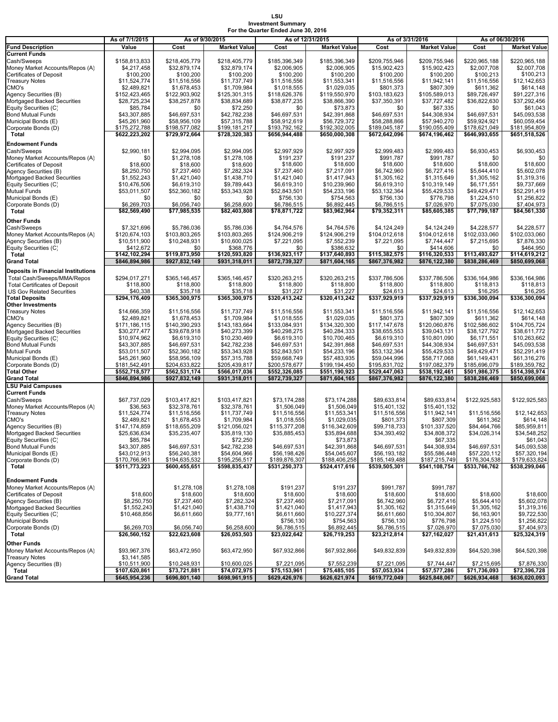# **LSU Investment Summary For the Quarter Ended June 30, 2016**

|                                                      | As of 7/1/2015                | As of 9/30/2015               |                               | As of 12/31/2015              |                               |                               | As of 3/31/2016               | As of 06/30/2016             |                              |  |
|------------------------------------------------------|-------------------------------|-------------------------------|-------------------------------|-------------------------------|-------------------------------|-------------------------------|-------------------------------|------------------------------|------------------------------|--|
| <b>Fund Description</b>                              | Value                         | Cost                          | <b>Market Value</b>           | Cost                          | <b>Market Value</b>           | Cost                          | <b>Market Value</b>           | Cost                         | <b>Market Value</b>          |  |
| <b>Current Funds</b>                                 |                               |                               |                               |                               |                               |                               |                               |                              |                              |  |
| Cash/Sweeps                                          | \$158,813,833                 | \$218,405,779                 | \$218,405,779                 | \$185,396,349                 | \$185,396,349                 | \$209.755.946                 | \$209,755,946                 | \$220.965.188                | \$220,965,188                |  |
| Money Market Accounts/Repos (A)                      | \$4,217,458                   | \$32,879,174                  | \$32,879,174                  | \$2,006,905                   | \$2,006,905                   | \$15,902,423                  | \$15,902,423                  | \$2,007,708                  | \$2,007,708                  |  |
| <b>Certificates of Deposit</b>                       | \$100,200                     | \$100,200                     | \$100,200                     | \$100,200                     | \$100,200                     | \$100,200                     | \$100,200                     | \$100,213                    | \$100,213                    |  |
| <b>Treasury Notes</b>                                | \$11,524,774                  | \$11,516,556                  | \$11,737,749                  | \$11,516,556                  | \$11,553,341                  | \$11,516,556                  | \$11,942,141                  | \$11,516,556                 | \$12,142,653                 |  |
| CMO's                                                | \$2,489,821                   | \$1,678,453                   | \$1,709,984                   | \$1,018,555                   | \$1,029,035                   | \$801,373                     | \$807,309                     | \$611,362                    | \$614,148                    |  |
| Agency Securities (B)<br>Mortgaged Backed Securities | \$152,423,465                 | \$122,903,902<br>\$38,257,878 | \$125,301,315<br>\$38,834,689 | \$118,626,376<br>\$38,877,235 | \$119,550,970<br>\$38,866,390 | \$103,183,623<br>\$37,350,391 | \$105,589,013<br>\$37,727,482 | \$89,726,497<br>\$36,822,630 | \$91,227,316<br>\$37,292,456 |  |
| Equity Securities (C)                                | \$28,725,234<br>\$85,784      | \$0                           | \$72,250                      | \$0                           | \$73,873                      | \$0                           | \$67,335                      | \$0                          | \$61,043                     |  |
| <b>Bond Mutual Funds</b>                             | \$43,307,885                  | \$46,697,531                  | \$42,782,238                  | \$46,697,531                  | \$42,391,868                  | \$46,697,531                  | \$44,308,934                  | \$46,697,531                 | \$45,093,538                 |  |
| Municipal Bonds (E)                                  | \$45,261,960                  | \$58,956,109                  | \$57,315,788                  | \$58,912,619                  | \$56,729,372                  | \$58,288,866                  | \$57,940,270                  | \$59,924,921                 | \$60,059,454                 |  |
| Corporate Bonds (D)                                  | \$175,272,788                 | \$198,577,082                 | \$199,181,217                 | \$193,792,162                 | \$192,302,005                 | \$189,045,187                 | \$190,055,409                 | \$178,621,049                | \$181,954,809                |  |
| Total                                                | \$622,223,202                 | \$729,972,664                 | \$728,320,383                 | \$656,944,488                 | \$650,000,308                 | \$672,642,096                 | \$674,196,462                 | \$646,993,655                | \$651,518,526                |  |
| <b>Endowment Funds</b>                               |                               |                               |                               |                               |                               |                               |                               |                              |                              |  |
| Cash/Sweeps                                          | \$2,990,181                   | \$2,994,095                   | \$2,994,095                   | \$2,997,929                   | \$2,997,929                   | \$2,999,483                   | \$2,999,483                   | \$6,930,453                  | \$6,930,453                  |  |
| Money Market Accounts/Repos (A)                      | \$0                           | \$1,278,108                   | \$1,278,108                   | \$191,237                     | \$191.237                     | \$991,787                     | \$991,787                     | \$0                          | \$0                          |  |
| <b>Certificates of Deposit</b>                       | \$18,600                      | \$18,600                      | \$18,600                      | \$18,600                      | \$18,600                      | \$18,600                      | \$18,600                      | \$18,600                     | \$18,600                     |  |
| Agency Securities (B)                                | \$8,250,750                   | \$7,237,460                   | \$7,282,324                   | \$7,237,460                   | \$7,217,091                   | \$6,742,960                   | \$6,727,416                   | \$5,644,410                  | \$5,602,078                  |  |
| Mortgaged Backed Securities                          | \$1,552,243                   | \$1,421,040                   | \$1,438,710                   | \$1,421,040                   | \$1,417,943                   | \$1,305,162                   | \$1,315,649                   | \$1,305,162                  | \$1,319,316                  |  |
| Equity Securities (C)                                | \$10,476,506                  | \$6,619,310                   | \$9,789,443                   | \$6,619,310                   | \$10,239,960                  | \$6,619,310                   | \$10,319,149                  | \$6,171,551                  | \$9,737,669                  |  |
| <b>Mutual Funds</b>                                  | \$53,011,507                  | \$52,360,182                  | \$53,343,928                  | \$52,843,501                  | \$54,233,196                  | \$53,132,364                  | \$55,429,533                  | \$49,429,471                 | \$52,291,419                 |  |
| Municipal Bonds (E)                                  | \$0                           | \$0                           | \$0                           | \$756,130                     | \$754,563                     | \$756,130                     | \$776,798                     | \$1,224,510                  | \$1,256,822                  |  |
| Corporate Bonds (D)<br>Total                         | \$6,269,703<br>\$82,569,490   | \$6,056,740<br>\$77,985,535   | \$6,258,600<br>\$82.403.808   | \$6,786,515<br>\$78,871,722   | \$6,892,445<br>\$83,962,964   | \$6,786,515<br>\$79,352,311   | \$7,026,970<br>\$85,605,385   | \$7,075,030<br>\$77,799,187  | \$7,404,973<br>\$84,561,330  |  |
|                                                      |                               |                               |                               |                               |                               |                               |                               |                              |                              |  |
| Other Funds                                          |                               |                               |                               |                               |                               |                               |                               |                              |                              |  |
| Cash/Sweeps<br>Money Market Accounts/Repos (A)       | \$7,321,696<br>\$120,674,103  | \$5,786,036<br>\$103,803,265  | \$5,786,036<br>\$103,803,265  | \$4,764,576<br>\$124,906,219  | \$4,764,576<br>\$124,906,219  | \$4,124,249<br>\$104,012,618  | \$4,124,249<br>\$104,012,618  | \$4,228,577<br>\$102,033,060 | \$4,228,577<br>\$102,033,060 |  |
| Agency Securities (B)                                | \$10,511,900                  | \$10,248,931                  | \$10,600,025                  | \$7,221,095                   | \$7,552,239                   | \$7,221,095                   | \$7,744,447                   | \$7,215,695                  | \$7,876,330                  |  |
| Equity Securities (C)                                | \$412,672                     | \$0                           | \$368,776                     | \$0                           | \$386,632                     | \$0                           | \$414,606                     | \$0                          | \$464,950                    |  |
| Total                                                | \$142,102,294                 | \$119,873,950                 | \$120,593,820                 | \$136.923.117                 | \$137,640,893                 | \$115,382,575                 | \$116,320,533                 | \$113,493,627                | \$114,619,212                |  |
| <b>Grand Total</b>                                   | \$846,894,986                 | \$927,832,149                 | \$931,318,011                 | \$872,739,327                 | \$871,604,165                 | \$867,376,982                 | \$876,122,380                 | \$838,286,469                | \$850,699,068                |  |
| <b>Deposits in Financial Institutions</b>            |                               |                               |                               |                               |                               |                               |                               |                              |                              |  |
| Total Cash/Sweeps/MMA/Repos                          | \$294,017,271                 | \$365,146,457                 | \$365,146,457                 | \$320,263,215                 | \$320,263,215                 | \$337,786,506                 | \$337,786,506                 | \$336,164,986                | \$336.164.986                |  |
| <b>Total Certificates of Deposit</b>                 | \$118,800                     | \$118,800                     | \$118,800                     | \$118,800                     | \$118,800                     | \$118,800                     | \$118,800                     | \$118,813                    | \$118,813                    |  |
| <b>US Gov Related Securities</b>                     | \$40,338                      | \$35,718                      | \$35,718                      | \$31,227                      | \$31,227                      | \$24,613                      | \$24,613                      | \$16,295                     | \$16,295                     |  |
| <b>Total Deposits</b>                                | \$294,176,409                 | \$365,300,975                 | \$365,300,975                 | \$320,413,242                 | \$320,413,242                 | \$337,929,919                 | \$337,929,919                 | \$336,300,094                | \$336,300,094                |  |
| <b>Other Investments</b>                             |                               |                               |                               |                               |                               |                               |                               |                              |                              |  |
| <b>Treasury Notes</b>                                | \$14,666,359                  | \$11,516,556                  | \$11,737,749                  | \$11,516,556                  | \$11,553,341                  | \$11,516,556                  | \$11,942,141                  | \$11,516,556                 | \$12,142,653                 |  |
| CMO's                                                | \$2,489,821                   | \$1,678,453                   | \$1,709,984                   | \$1,018,555                   | \$1,029,035                   | \$801,373                     | \$807,309                     | \$611,362                    | \$614,148                    |  |
| Agency Securities (B)                                | \$171,186,115                 | \$140,390,293                 | \$143,183,664                 | \$133,084,931                 | \$134,320,300                 | \$117,147,678                 | \$120,060,876                 | \$102,586,602                | \$104,705,724                |  |
| Mortgaged Backed Securities                          | \$30,277,477                  | \$39,678,918                  | \$40,273,399                  | \$40,298,275                  | \$40,284,333                  | \$38,655,553                  | \$39,043,131                  | \$38,127,792                 | \$38,611,772                 |  |
| Equity Securities (C)                                | \$10,974,962                  | \$6,619,310                   | \$10,230,469                  | \$6,619,310                   | \$10,700,465                  | \$6,619,310                   | \$10,801,090                  | \$6,171,551                  | \$10,263,662                 |  |
| <b>Bond Mutual Funds</b><br><b>Mutual Funds</b>      | \$43,307,885<br>\$53,011,507  | \$46,697,531<br>\$52,360,182  | \$42,782,238<br>\$53,343,928  | \$46,697,531<br>\$52,843,501  | \$42,391,868<br>\$54,233,196  | \$46,697,531<br>\$53,132,364  | \$44,308,934<br>\$55,429,533  | \$46,697,531<br>\$49,429,471 | \$45,093,538<br>\$52,291,419 |  |
| Municipal Bonds (E)                                  | \$45,261,960                  | \$58,956,109                  | \$57,315,788                  | \$59,668,749                  | \$57,483,935                  | \$59,044,996                  | \$58,717,068                  | \$61,149,431                 | \$61,316,276                 |  |
| Corporate Bonds (D)                                  | \$181,542,491                 | \$204,633,822                 | \$205,439,817                 | \$200,578,677                 | \$199,194,450                 | \$195,831,702                 | \$197,082,379                 | \$185,696,079                | \$189,359,782                |  |
| <b>Total Other</b>                                   | \$552,718,577                 | \$562,531,174                 | \$566,017,036                 | \$552,326,085                 | \$551,190,923                 | \$529,447,063                 | \$538,192,461                 | \$501,986,375                | \$514,398,974                |  |
| <b>Grand Total</b>                                   | \$846,894,986                 | \$927,832,149                 | \$931,318,011                 | \$872,739,327                 | \$871,604,165                 | \$867,376,982                 | \$876,122,380                 | \$838,286,469                | \$850,699,068                |  |
| <b>LSU Paid Campuses</b>                             |                               |                               |                               |                               |                               |                               |                               |                              |                              |  |
| <b>Current Funds</b>                                 |                               |                               |                               |                               |                               |                               |                               |                              |                              |  |
| Cash/Sweeps                                          | \$67,737,029                  | \$103,417,821                 | \$103,417,821                 | \$73,174,288                  | \$73,174,288                  | \$89,633,814                  | \$89,633,814                  | \$122,925,583                | \$122,925,583                |  |
| Money Market Accounts/Repos (A)                      | \$36,563                      | \$32,378,761                  | \$32,378,761                  | \$1,506,049                   | \$1,506,049                   | \$15,401,132                  | \$15,401,132                  |                              |                              |  |
| <b>Treasury Notes</b>                                | \$11,524,774                  | \$11,516,556                  | \$11,737,749                  | \$11,516,556                  | \$11,553,341                  | \$11,516,556                  | \$11,942,141                  | \$11,516,556                 | \$12,142,653                 |  |
| CMO's                                                | \$2,489,821                   | \$1,678,453                   | \$1,709,984                   | \$1,018,555                   | \$1,029,035                   | \$801,373                     | \$807,309                     | \$611,362                    | \$614,148                    |  |
| Agency Securities (B)<br>Mortgaged Backed Securities | \$147,174,859<br>\$25,636,634 | \$118,655,209<br>\$35,235,407 | \$121,056,021<br>\$35,819,130 | \$115,377,208<br>\$35,885,453 | \$116,342,609<br>\$35,894,688 | \$99,718,733<br>\$34,393,492  | \$101,337,520<br>\$34,808,372 | \$84,464,766<br>\$34,026,314 | \$85,959,811<br>\$34,548,252 |  |
| Equity Securities (C)                                | \$85,784                      |                               | \$72,250                      |                               | \$73,873                      |                               | \$67,335                      |                              | \$61,043                     |  |
| <b>Bond Mutual Funds</b>                             | \$43,307,885                  | \$46,697,531                  | \$42,782,238                  | \$46,697,531                  | \$42,391,868                  | \$46,697,531                  | \$44,308,934                  | \$46,697,531                 | \$45,093,538                 |  |
| Municipal Bonds (E)                                  | \$43,012,913                  | \$56,240,381                  | \$54,604,966                  | \$56,198,426                  | \$54,045,607                  | \$56,193,182                  | \$55,586,448                  | \$57,220,112                 | \$57,320,194                 |  |
| Corporate Bonds (D)                                  | \$170,766,961                 | \$194,635,532                 | \$195,256,517                 | \$189,876,307                 | \$188,406,258                 | \$185,149,488                 | \$187,215,749                 | \$176,304,538                | \$179,633,824                |  |
| Total                                                | \$511,773,223                 | \$600,455,651                 | \$598,835,437                 | \$531,250,373                 | \$524,417,616                 | \$539,505,301                 | \$541,108,754                 | \$533,766,762                | \$538,299,046                |  |
|                                                      |                               |                               |                               |                               |                               |                               |                               |                              |                              |  |
| <b>Endowment Funds</b>                               |                               |                               |                               |                               |                               |                               |                               |                              |                              |  |
| Money Market Accounts/Repos (A)                      |                               | \$1,278,108                   | \$1,278,108                   | \$191,237                     | \$191,237                     | \$991,787                     | \$991,787                     |                              |                              |  |
| Certificates of Deposit                              | \$18,600                      | \$18,600                      | \$18,600                      | \$18,600                      | \$18,600                      | \$18,600                      | \$18,600                      | \$18,600                     | \$18,600                     |  |
| Agency Securities (B)                                | \$8,250,750                   | \$7,237,460                   | \$7,282,324                   | \$7,237,460                   | \$7,217,091                   | \$6,742,960                   | \$6,727,416                   | \$5,644,410                  | \$5,602,078                  |  |
| Mortgaged Backed Securities<br>Equity Securities (C) | \$1,552,243<br>\$10,468,856   | \$1,421,040<br>\$6,611,660    | \$1,438,710                   | \$1,421,040<br>\$6,611,660    | \$1,417,943<br>\$10,227,374   | \$1,305,162<br>\$6,611,660    | \$1,315,649<br>\$10,304,807   | \$1,305,162<br>\$6,163,901   | \$1,319,316<br>\$9,722,530   |  |
| <b>Municipal Bonds</b>                               |                               |                               | \$9,777,161                   | \$756,130                     | \$754,563                     | \$756,130                     | \$776,798                     | \$1,224,510                  | \$1,256.822                  |  |
| Corporate Bonds (D)                                  | \$6,269,703                   | \$6,056,740                   | \$6,258,600                   | \$6,786,515                   | \$6,892,445                   | \$6,786,515                   | \$7,026,970                   | \$7,075,030                  | \$7,404,973                  |  |
| Total                                                | \$26,560,152                  | \$22,623,608                  | \$26,053,503                  | \$23,022,642                  | \$26,719,253                  | \$23,212,814                  | \$27,162,027                  | \$21,431,613                 | \$25,324,319                 |  |
| Other Funds                                          |                               |                               |                               |                               |                               |                               |                               |                              |                              |  |
| Money Market Accounts/Repos (A)                      | \$93,967,376                  | \$63,472,950                  | \$63,472,950                  | \$67,932,866                  | \$67,932,866                  | \$49,832,839                  | \$49,832,839                  | \$64,520,398                 | \$64,520,398                 |  |
| <b>Treasury Notes</b>                                | \$3,141,585                   |                               |                               |                               |                               |                               |                               |                              |                              |  |
| Agency Securities (B)                                | \$10,511,900                  | \$10,248,931                  | \$10,600,025                  | \$7,221,095                   | \$7,552,239                   | \$7,221,095                   | \$7,744,447                   | \$7,215,695                  | \$7,876,330                  |  |
| Total                                                | \$107,620,861                 | \$73,721,881                  | \$74,072,975                  | \$75,153,961                  | \$75,485,105                  | \$57,053,934                  | \$57,577,286                  | \$71,736,093                 | \$72,396,728                 |  |
| <b>Grand Total</b>                                   | \$645,954,236                 | \$696,801,140                 | \$698,961,915                 | \$629,426,976                 | \$626,621,974                 | \$619,772,049                 | \$625,848,067                 | \$626,934,468                | \$636,020,093                |  |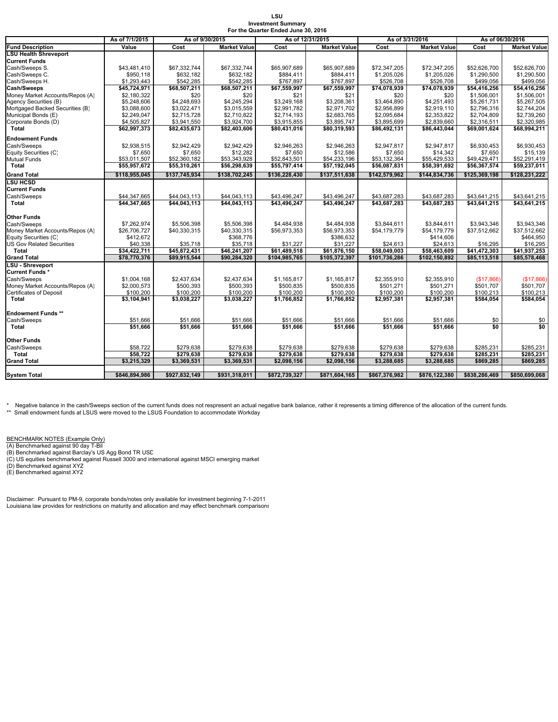#### **LSU Investment Summary For the Quarter Ended June**

|                                                         |                              |                          |                              | $\sim$ 0. the gaarter Enged sanc so, 2010 |                               |                                                |                               |                          |                              |
|---------------------------------------------------------|------------------------------|--------------------------|------------------------------|-------------------------------------------|-------------------------------|------------------------------------------------|-------------------------------|--------------------------|------------------------------|
|                                                         | As of 7/1/2015               | As of 9/30/2015          |                              | As of 12/31/2015                          |                               | As of 3/31/2016<br>Cost<br><b>Market Value</b> |                               |                          | As of 06/30/2016             |
| <b>Fund Description</b><br><b>LSU Health Shreveport</b> | Value                        | Cost                     | <b>Market Value</b>          | Cost                                      | <b>Market Value</b>           |                                                |                               | Cost                     | <b>Market Value</b>          |
|                                                         |                              |                          |                              |                                           |                               |                                                |                               |                          |                              |
| Current Funds                                           |                              |                          |                              |                                           |                               |                                                |                               |                          |                              |
| Cash/Sweeps S.                                          | \$43,481,410                 | \$67,332,744             | \$67,332,744                 | \$65,907,689                              | \$65,907,689                  | \$72,347,205                                   | \$72,347,205                  | \$52,626,700             | \$52,626,700                 |
| Cash/Sweeps C.                                          | \$950.118                    | \$632.182                | \$632.182                    | \$884.411                                 | \$884.411                     | \$1,205,026                                    | \$1,205,026                   | \$1,290,500              | \$1.290.500                  |
| Cash/Sweeps H.                                          | \$1.293.443                  | \$542.285                | \$542.285                    | \$767.897                                 | \$767.897                     | \$526.708                                      | \$526,708                     | \$499.056                | \$499,056                    |
| <b>Cash/Sweeps</b>                                      | \$45,724,971                 | \$68,507,211             | \$68,507,211                 | \$67,559,997                              | \$67,559,997                  | \$74,078,939                                   | \$74,078,939                  | \$54,416,256             | \$54,416,256                 |
| Money Market Accounts/Repos (A)                         | \$2.180.322                  | \$20                     | \$20                         | \$21                                      | \$21                          | \$20                                           | \$20                          | \$1,506,001              | \$1,506,001                  |
| Agency Securities (B)                                   | \$5,248,606                  | \$4,248,693              | \$4,245,294                  | \$3,249,168                               | \$3,208,361                   | \$3,464,890                                    | \$4,251,493                   | \$5,261,731              | \$5,267,505                  |
| Mortgaged Backed Securities (B)                         | \$3,088,600                  | \$3,022,471              | \$3,015,559                  | \$2,991,782                               | \$2,971,702                   | \$2,956,899                                    | \$2,919,110                   | \$2,796,316              | \$2,744,204                  |
| Municipal Bonds (E)                                     | \$2,249,047                  | \$2,715,728              | \$2,710,822                  | \$2,714,193                               | \$2,683,765                   | \$2,095,684                                    | \$2,353,822                   | \$2,704,809              | \$2,739,260                  |
| Corporate Bonds (D)                                     | \$4,505,827                  | \$3,941,550              | \$3,924,700                  | \$3,915,855                               | \$3,895,747                   | \$3,895,699                                    | \$2,839,660                   | \$2,316,511              | \$2,320,985                  |
| Total                                                   | \$62,997,373                 | \$82,435,673             | \$82,403,606                 | \$80,431,016                              | \$80,319,593                  | \$86,492,131                                   | \$86,443,044                  | \$69,001,624             | \$68,994,211                 |
| Endowment Funds                                         |                              |                          |                              |                                           |                               |                                                |                               |                          |                              |
| Cash/Sweeps                                             | \$2,938,515                  | \$2,942,429              | \$2,942,429                  | \$2,946,263                               | \$2,946,263                   | \$2,947,817                                    | \$2,947,817                   | \$6,930,453              | \$6,930,453                  |
| Equity Securities (C)                                   | \$7,650                      | \$7,650                  | \$12,282                     | \$7,650                                   | \$12,586                      | \$7,650                                        | \$14,342                      | \$7,650                  | \$15,139                     |
| Mutual Funds                                            | \$53.011.507                 | \$52,360,182             | \$53,343,928                 | \$52,843,501                              | \$54,233,196                  | \$53.132.364                                   | \$55,429,533                  | \$49,429,471             | \$52,291,419                 |
| Total                                                   | \$55,957,672                 | \$55,310,261             | \$56,298,639                 | \$55,797,414                              | \$57,192,045                  | \$56,087,831                                   | \$58,391,692                  | \$56,367,574             | \$59,237,011                 |
| <b>Grand Total</b>                                      | \$118,955,045                | \$137,745,934            | \$138,702,245                | \$136.228.430                             | \$137,511,638                 | \$142.579.962                                  | \$144,834,736                 | \$125,369,198            | \$128.231.222                |
| <b>LSU HCSD</b>                                         |                              |                          |                              |                                           |                               |                                                |                               |                          |                              |
| Current Funds                                           |                              |                          |                              |                                           |                               |                                                |                               |                          |                              |
| Cash/Sweeps                                             | \$44,347,665                 | \$44,043,113             | \$44,043,113                 | \$43,496,247                              | \$43,496,247                  | \$43,687,283                                   | \$43,687,283                  | \$43,641,215             | \$43,641,215                 |
| Total                                                   | \$44.347.665                 | \$44.043.113             | \$44.043.113                 | \$43.496.247                              | \$43.496.247                  | \$43.687.283                                   | \$43,687,283                  | \$43.641.215             | \$43.641.215                 |
|                                                         |                              |                          |                              |                                           |                               |                                                |                               |                          |                              |
| Other Funds                                             |                              |                          |                              |                                           |                               |                                                |                               |                          |                              |
| Cash/Sweeps                                             | \$7,262,974                  | \$5,506,398              | \$5,506,398                  | \$4,484,938                               | \$4,484,938                   | \$3,844,611                                    | \$3,844,611                   | \$3,943,346              | \$3,943,346                  |
| Money Market Accounts/Repos (A)                         | \$26,706,727                 | \$40,330,315             | \$40,330,315                 | \$56,973,353                              | \$56,973,353                  | \$54,179,779                                   | \$54,179,779                  | \$37,512,662             | \$37,512,662                 |
| Equity Securities (C)                                   | \$412,672                    |                          | \$368,776                    |                                           | \$386.632                     |                                                | \$414,606                     |                          | \$464,950                    |
| <b>US Gov Related Securities</b>                        | \$40,338                     | \$35,718                 | \$35,718                     | \$31,227                                  | \$31,227                      | \$24,613                                       | \$24,613                      | \$16,295                 | \$16,295                     |
| Total                                                   | \$34,422,711<br>\$78.770.376 | \$45,872,431             | \$46,241,207<br>\$90,284,320 | \$61,489,518                              | \$61,876,150<br>\$105,372,397 | \$58,049,003<br>\$101.736.286                  | \$58,463,609<br>\$102.150.892 | $\overline{541,472,303}$ | \$41,937,253<br>\$85,578,468 |
| <b>Grand Total</b><br><b>LSU - Shreveport</b>           |                              | \$89,915,544             |                              | \$104,985,765                             |                               |                                                |                               | \$85,113,518             |                              |
| Current Funds *                                         |                              |                          |                              |                                           |                               |                                                |                               |                          |                              |
|                                                         |                              |                          |                              |                                           |                               |                                                |                               |                          |                              |
| Cash/Sweeps                                             | \$1,004.168                  | \$2.437.634              | \$2,437.634                  | \$1.165.817                               | \$1.165.817                   | \$2.355.910                                    | \$2.355.910                   | (S17.866)                | (\$17,866)                   |
| Money Market Accounts/Repos (A)                         | \$2,000,573                  | \$500,393                | \$500,393                    | \$500,835                                 | \$500,835                     | \$501,271                                      | \$501,271                     | \$501,707                | \$501,707                    |
| Certificates of Deposit<br>Total                        | \$100,200<br>\$3,104,941     | \$100,200<br>\$3,038,227 | \$100,200<br>\$3,038,227     | \$100,200<br>\$1,766,852                  | \$100,200<br>\$1,766,852      | \$100,200<br>\$2,957,381                       | \$100,200<br>\$2,957,381      | \$100,213<br>\$584,054   | \$100,213<br>\$584,054       |
|                                                         |                              |                          |                              |                                           |                               |                                                |                               |                          |                              |
| <b>Endowment Funds **</b>                               |                              |                          |                              |                                           |                               |                                                |                               |                          |                              |
| Cash/Sweeps                                             | \$51,666                     | \$51,666                 | \$51,666                     | \$51,666                                  | \$51,666                      | \$51,666                                       | \$51,666                      | \$0                      | \$0                          |
| Total                                                   | \$51,666                     | \$51,666                 | \$51.666                     | \$51,666                                  | \$51.666                      | \$51,666                                       | \$51,666                      | \$0                      | \$0                          |
|                                                         |                              |                          |                              |                                           |                               |                                                |                               |                          |                              |
| Other Funds                                             |                              |                          |                              |                                           |                               |                                                |                               |                          |                              |
| Cash/Sweeps                                             | \$58,722                     | \$279,638                | \$279,638                    | \$279,638                                 | \$279,638                     | \$279,638                                      | \$279,638                     | \$285,231                | \$285,231                    |
| Total                                                   | \$58.722                     | \$279,638                | \$279.638                    | \$279,638                                 | \$279.638                     | \$279,638                                      | \$279,638                     | \$285,231                | \$285,231                    |
| <b>Grand Total</b>                                      | \$3,215,329                  | \$3,369,531              | \$3,369,531                  | \$2,098,156                               | \$2,098,156                   | \$3,288,685                                    | \$3,288,685                   | \$869,285                | \$869,285                    |
|                                                         |                              |                          |                              |                                           |                               |                                                |                               |                          |                              |
| System Total                                            | \$846,894,986                | \$927,832,149            | \$931,318,011                | \$872,739,327                             | \$871,604,165                 | \$867,376,982                                  | \$876,122,380                 | \$838,286,469            | \$850,699,068                |

\* Negative balance in the cash/Sweeps section of the current funds does not respresent an actual negative bank balance, rather it represents a timing difference of the allocation of the current funds.<br>\*\* Small endowment fu

<u>BENCHMARK NOTES (Example Only)</u><br>(A) Benchmarked against 90 day T-Bil<br>(B) Benchmarked against Barclay's US Agg Bond TR USD

(C) US equities benchmarked against Russell 3000 and international against MSCI emerging market (D) Benchmarked against XYZ (E) Benchmarked against XYZ

Disclaimer: Pursuant to PM-9, corporate bonds/notes only available for investment beginning 7-1-2011 Louisiana law provides for restrictions on maturity and allocation and may effect benchmark comparisons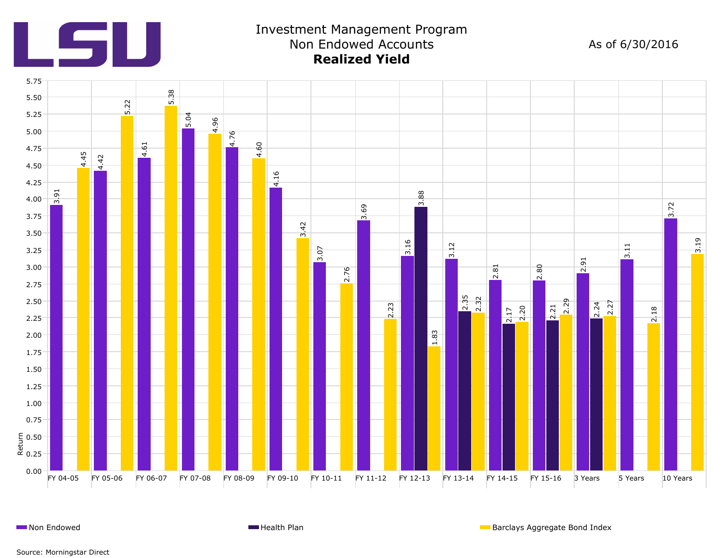

## Investment Management Program Non Endowed Accounts **Realized Yield**

As of 6/30/2016



**Non Endowed Health Plan** Barclays Aggregate Bond Index **Health Plan** Barclays Aggregate Bond Index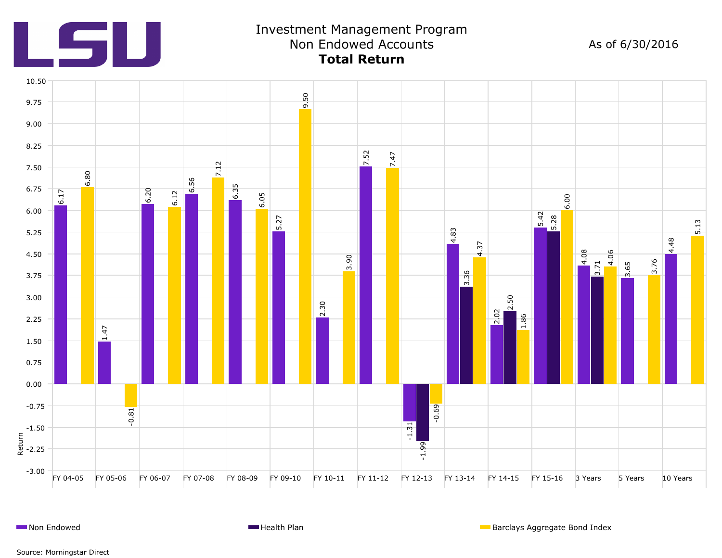

## Investment Management Program Non Endowed Accounts **Total Return**

As of 6/30/2016

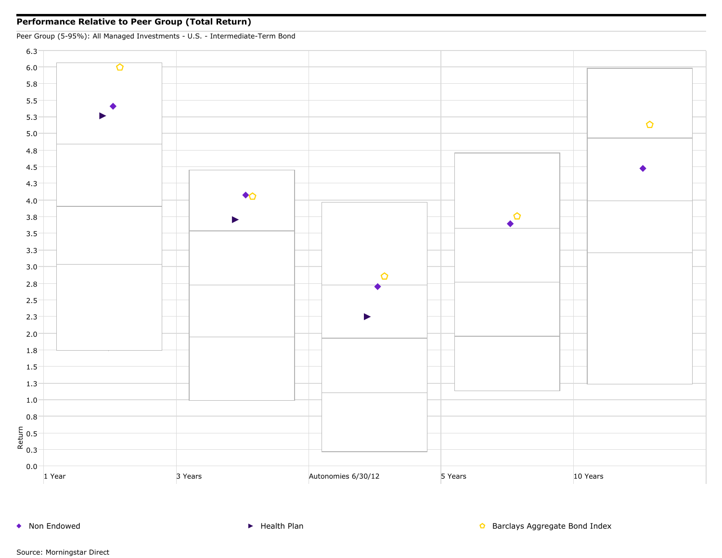#### **Performance Relative to Peer Group (Total Return)**



◆ Non Endowed <br>● Non Endowed **Health Plan** Barclays Aggregate Bond Index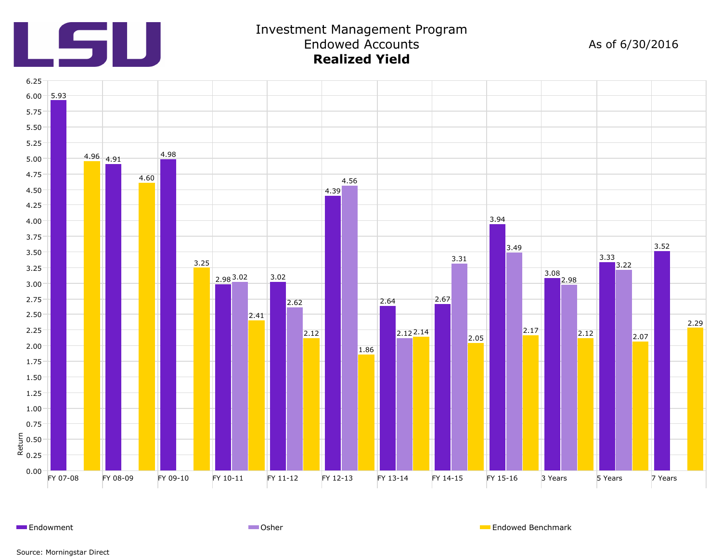

#### Investment Management Program Endowed Accounts **Realized Yield**

As of 6/30/2016



Endowment **Endowed Benchmark** Communication Communication Communication Communication Communication Communication Communication Communication Communication Communication Communication Communication Communication Communicat